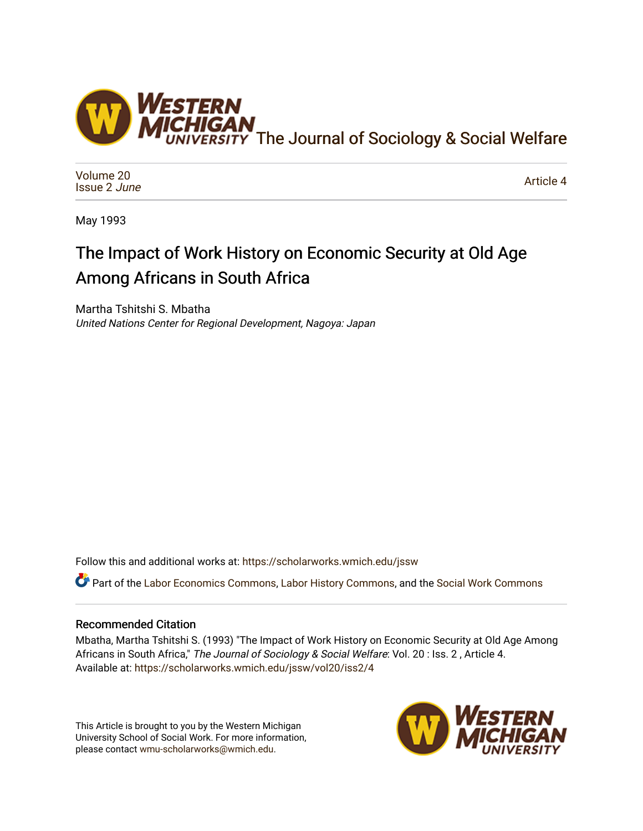

[Volume 20](https://scholarworks.wmich.edu/jssw/vol20) [Issue 2](https://scholarworks.wmich.edu/jssw/vol20/iss2) June

[Article 4](https://scholarworks.wmich.edu/jssw/vol20/iss2/4) 

May 1993

# The Impact of Work History on Economic Security at Old Age Among Africans in South Africa

Martha Tshitshi S. Mbatha United Nations Center for Regional Development, Nagoya: Japan

Follow this and additional works at: [https://scholarworks.wmich.edu/jssw](https://scholarworks.wmich.edu/jssw?utm_source=scholarworks.wmich.edu%2Fjssw%2Fvol20%2Fiss2%2F4&utm_medium=PDF&utm_campaign=PDFCoverPages) 

Part of the [Labor Economics Commons](http://network.bepress.com/hgg/discipline/349?utm_source=scholarworks.wmich.edu%2Fjssw%2Fvol20%2Fiss2%2F4&utm_medium=PDF&utm_campaign=PDFCoverPages), [Labor History Commons,](http://network.bepress.com/hgg/discipline/1254?utm_source=scholarworks.wmich.edu%2Fjssw%2Fvol20%2Fiss2%2F4&utm_medium=PDF&utm_campaign=PDFCoverPages) and the [Social Work Commons](http://network.bepress.com/hgg/discipline/713?utm_source=scholarworks.wmich.edu%2Fjssw%2Fvol20%2Fiss2%2F4&utm_medium=PDF&utm_campaign=PDFCoverPages)

## Recommended Citation

Mbatha, Martha Tshitshi S. (1993) "The Impact of Work History on Economic Security at Old Age Among Africans in South Africa," The Journal of Sociology & Social Welfare: Vol. 20 : Iss. 2, Article 4. Available at: [https://scholarworks.wmich.edu/jssw/vol20/iss2/4](https://scholarworks.wmich.edu/jssw/vol20/iss2/4?utm_source=scholarworks.wmich.edu%2Fjssw%2Fvol20%2Fiss2%2F4&utm_medium=PDF&utm_campaign=PDFCoverPages)

This Article is brought to you by the Western Michigan University School of Social Work. For more information, please contact [wmu-scholarworks@wmich.edu.](mailto:wmu-scholarworks@wmich.edu)

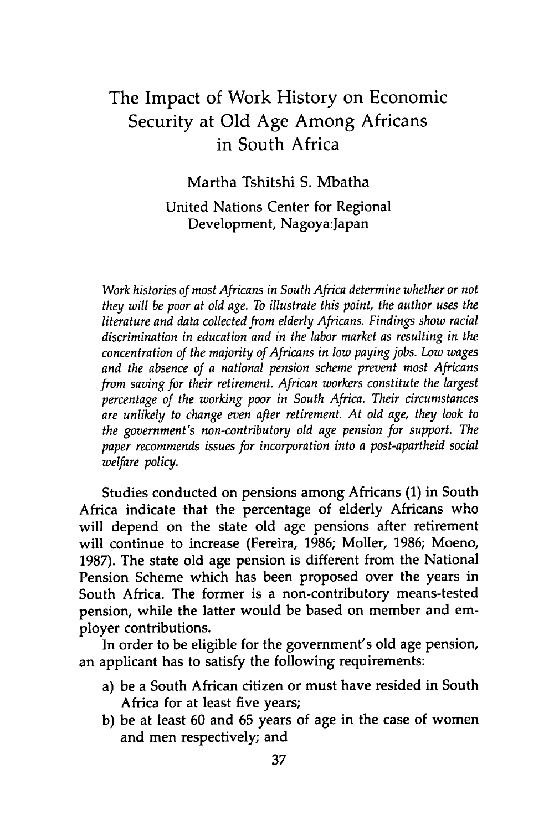## The Impact of Work History on Economic Security at Old Age Among Africans in South Africa

Martha Tshitshi S. Mbatha

United Nations Center for Regional Development, Nagoya:Japan

*Work histories of most Africans in South Africa determine whether or not they will be poor at old age. To illustrate this point, the author uses the literature and data collected from elderly Africans. Findings show racial discrimination in education and in the labor market as resulting in the concentration of the majority of Africans in low paying jobs. Low wages and the absence of a national pension scheme prevent most Africans from saving for their retirement. African workers constitute the largest percentage of the working poor in South Africa. Their circumstances are unlikely to change even after retirement. At old age, they look to the government's non-contributory old age pension for support. The paper recommends issues for incorporation into a post-apartheid social welfare policy.*

Studies conducted on pensions among Africans (1) in South Africa indicate that the percentage of elderly Africans who will depend on the state old age pensions after retirement will continue to increase (Fereira, 1986; Moller, 1986; Moeno, 1987). The state old age pension is different from the National Pension Scheme which has been proposed over the years in South Africa. The former is a non-contributory means-tested pension, while the latter would be based on member and employer contributions.

In order to be eligible for the government's old age pension, an applicant has to satisfy the following requirements:

- a) be a South African citizen or must have resided in South Africa for at least five years;
- b) be at least 60 and 65 years of age in the case of women and men respectively; and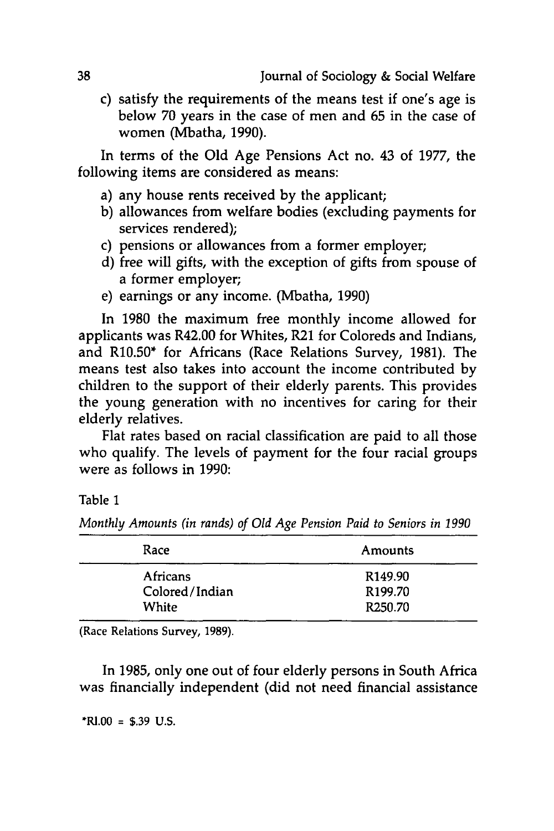c) satisfy the requirements of the means test if one's age is below **70** years in the case of men and **65** in the case of women (Mbatha, **1990).**

In terms of the **Old** Age Pensions Act no. 43 of **1977,** the following items are considered as means:

- a) any house rents received **by** the applicant;
- **b)** allowances from welfare bodies (excluding payments for services rendered);
- c) pensions or allowances from a former employer;
- **d)** free will gifts, with the exception of gifts from spouse of a former employer;
- e) earnings or any income. (Mbatha, **1990)**

In **1980** the maximum free monthly income allowed for applicants was R42.00 for Whites, R21 for Coloreds and Indians, and R10.50\* for Africans (Race Relations Survey, **1981).** The means test also takes into account the income contributed **by** children to the support of their elderly parents. This provides the young generation with no incentives for caring for their elderly relatives.

Flat rates based on racial classification are paid to all those who qualify. The levels of payment for the four racial groups were as follows in **1990:**

Table **1**

*Monthly Amounts (in rands) of Old Age Pension Paid to Seniors in 1990*

| Race           | Amounts             |  |  |
|----------------|---------------------|--|--|
| Africans       | R <sub>149.90</sub> |  |  |
| Colored/Indian | R <sub>199.70</sub> |  |  |
| White          | R <sub>250.70</sub> |  |  |
|                |                     |  |  |

(Race Relations Survey, **1989).**

In **1985,** only one out of four elderly persons in South Africa was financially independent (did not need financial assistance

**\*RI.00** = **\$.39 U.S.**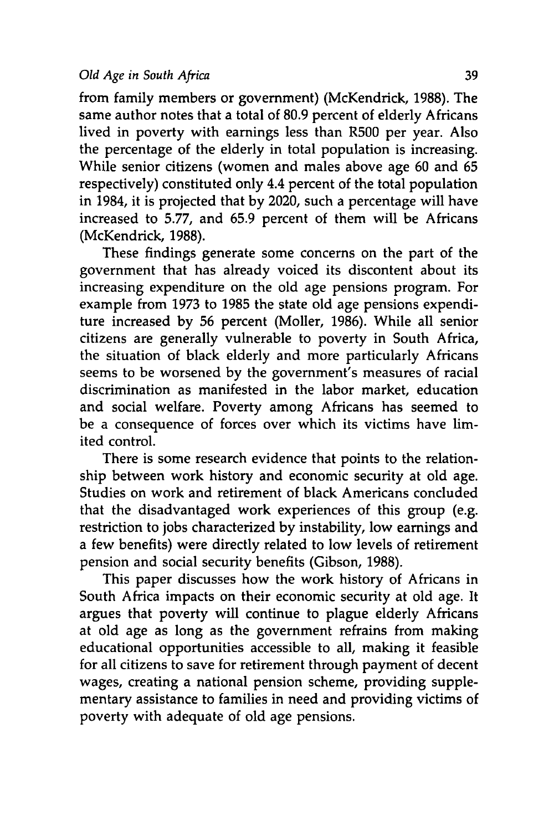from family members or government) (McKendrick, **1988).** The same author notes that a total of 80.9 percent of elderly Africans lived in poverty with earnings less than R500 per year. Also the percentage of the elderly in total population is increasing. While senior citizens (women and males above age 60 and 65 respectively) constituted only 4.4 percent of the total population in 1984, it is projected that by 2020, such a percentage will have increased to 5.77, and 65.9 percent of them will be Africans (McKendrick, 1988).

These findings generate some concerns on the part of the government that has already voiced its discontent about its increasing expenditure on the old age pensions program. For example from 1973 to 1985 the state old age pensions expenditure increased by 56 percent (Moller, 1986). While all senior citizens are generally vulnerable to poverty in South Africa, the situation of black elderly and more particularly Africans seems to be worsened by the government's measures of racial discrimination as manifested in the labor market, education and social welfare. Poverty among Africans has seemed to be a consequence of forces over which its victims have limited control.

There is some research evidence that points to the relationship between work history and economic security at old age. Studies on work and retirement of black Americans concluded that the disadvantaged work experiences of this group (e.g. restriction to jobs characterized by instability, low earnings and a few benefits) were directly related to low levels of retirement pension and social security benefits (Gibson, 1988).

This paper discusses how the work history of Africans in South Africa impacts on their economic security at old age. It argues that poverty will continue to plague elderly Africans at old age as long as the government refrains from making educational opportunities accessible to all, making it feasible for all citizens to save for retirement through payment of decent wages, creating a national pension scheme, providing supplementary assistance to families in need and providing victims of poverty with adequate of old age pensions.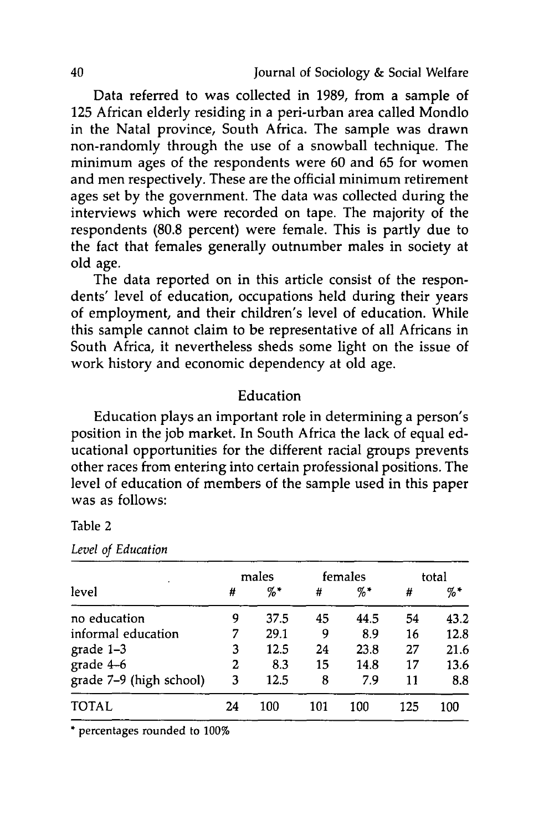Data referred to was collected in 1989, from a sample of 125 African elderly residing in a peri-urban area called Mondlo in the Natal province, South Africa. The sample was drawn non-randomly through the use of a snowball technique. The minimum ages of the respondents were 60 and 65 for women and men respectively. These are the official minimum retirement ages set by the government. The data was collected during the interviews which were recorded on tape. The majority of the respondents (80.8 percent) were female. This is partly due to the fact that females generally outnumber males in society at old age.

The data reported on in this article consist of the respondents' level of education, occupations held during their years of employment, and their children's level of education. While this sample cannot claim to be representative of all Africans in South Africa, it nevertheless sheds some light on the issue of work history and economic dependency at old age.

## Education

Education plays an important role in determining a person's position in the job market. In South Africa the lack of equal educational opportunities for the different racial groups prevents other races from entering into certain professional positions. The level of education of members of the sample used in this paper was as follows:

## Table 2

|                         | males |        |     | females |     | total |  |
|-------------------------|-------|--------|-----|---------|-----|-------|--|
| level                   | #     | $\%$ * | #   | $\% *$  | #   | $%$ * |  |
| no education            | 9     | 37.5   | 45  | 44.5    | 54  | 43.2  |  |
| informal education      |       | 29.1   | 9   | 8.9     | 16  | 12.8  |  |
| grade $1-3$             | 3     | 12.5   | 24  | 23.8    | 27  | 21.6  |  |
| grade 4-6               | 2     | 8.3    | 15  | 14.8    | 17  | 13.6  |  |
| grade 7-9 (high school) | 3     | 12.5   | 8   | 7.9     | 11  | 8.8   |  |
| <b>TOTAL</b>            | 24    | 100    | 101 | 100     | 125 | 100   |  |

*Level of Education*

**\*** percentages rounded to **100%**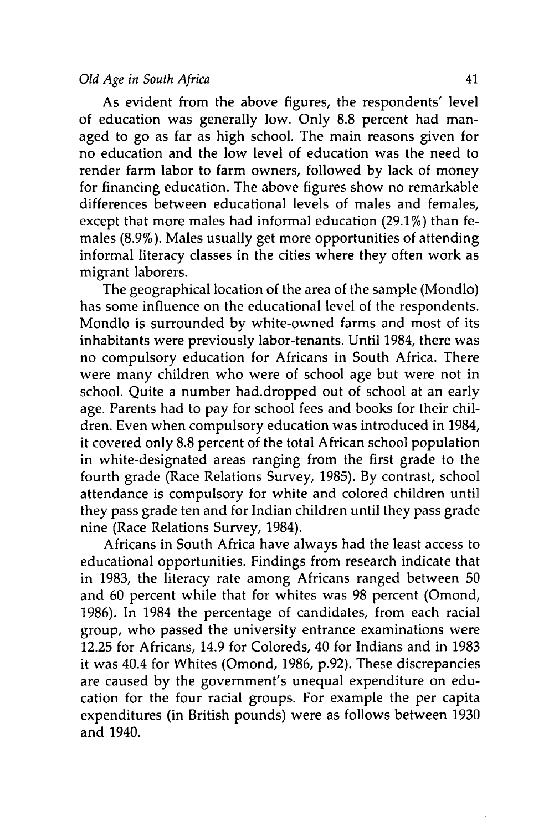As evident from the above figures, the respondents' level of education was generally low. Only 8.8 percent had managed to go as far as high school. The main reasons given for no education and the low level of education was the need to render farm labor to farm owners, followed by lack of money for financing education. The above figures show no remarkable differences between educational levels of males and females, except that more males had informal education (29.1%) than females (8.9%). Males usually get more opportunities of attending informal literacy classes in the cities where they often work as migrant laborers.

The geographical location of the area of the sample (Mondlo) has some influence on the educational level of the respondents. Mondlo is surrounded by white-owned farms and most of its inhabitants were previously labor-tenants. Until 1984, there was no compulsory education for Africans in South Africa. There were many children who were of school age but were not in school. Quite a number had.dropped out of school at an early age. Parents had to pay for school fees and books for their children. Even when compulsory education was introduced in 1984, it covered only 8.8 percent of the total African school population in white-designated areas ranging from the first grade to the fourth grade (Race Relations Survey, 1985). By contrast, school attendance is compulsory for white and colored children until they pass grade ten and for Indian children until they pass grade nine (Race Relations Survey, 1984).

Africans in South Africa have always had the least access to educational opportunities. Findings from research indicate that in 1983, the literacy rate among Africans ranged between 50 and 60 percent while that for whites was 98 percent (Omond, 1986). In 1984 the percentage of candidates, from each racial group, who passed the university entrance examinations were 12.25 for Africans, 14.9 for Coloreds, 40 for Indians and in 1983 it was 40.4 for Whites (Omond, 1986, p.92). These discrepancies are caused by the government's unequal expenditure on education for the four racial groups. For example the per capita expenditures (in British pounds) were as follows between 1930 and 1940.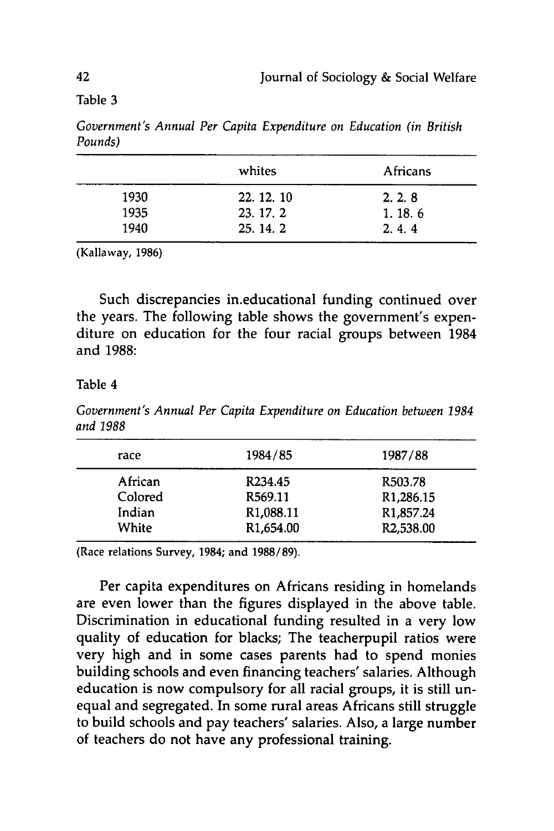Table **3**

|      | whites     | Africans |
|------|------------|----------|
| 1930 | 22. 12. 10 | 2, 2, 8  |
| 1935 | 23. 17. 2  | 1.18.6   |
| 1940 | 25.14.2    | 2, 4, 4  |

*Government's Annual Per Capita Expenditure on Education (in British Pounds)*

(Kallaway, **1986)**

Such discrepancies in.educational funding continued over the years. The following table shows the government's expenditure on education for the four racial groups between 1984 and **1988:**

Table 4

*Government's Annual Per Capita Expenditure on Education between 1984 and 1988*

| race    | 1984/85                | 1987/88                |
|---------|------------------------|------------------------|
| African | R <sub>234.45</sub>    | R <sub>503.78</sub>    |
| Colored | R <sub>569.11</sub>    | R <sub>1</sub> ,286.15 |
| Indian  | R <sub>1</sub> ,088.11 | R <sub>1</sub> ,857.24 |
| White   | R <sub>1</sub> ,654.00 | R2,538.00              |

(Race relations Survey, 1984; and **1988/89).**

Per capita expenditures on Africans residing in homelands are even lower than the figures displayed in the above table. Discrimination in educational funding resulted in a very low quality of education for blacks; The teacherpupil ratios were very high and in some cases parents had to spend monies building schools and even financing teachers' salaries. Although education is now compulsory for all racial groups, it is still unequal and segregated. In some rural areas Africans still struggle to build schools and pay teachers' salaries. Also, a large number of teachers do not have any professional training.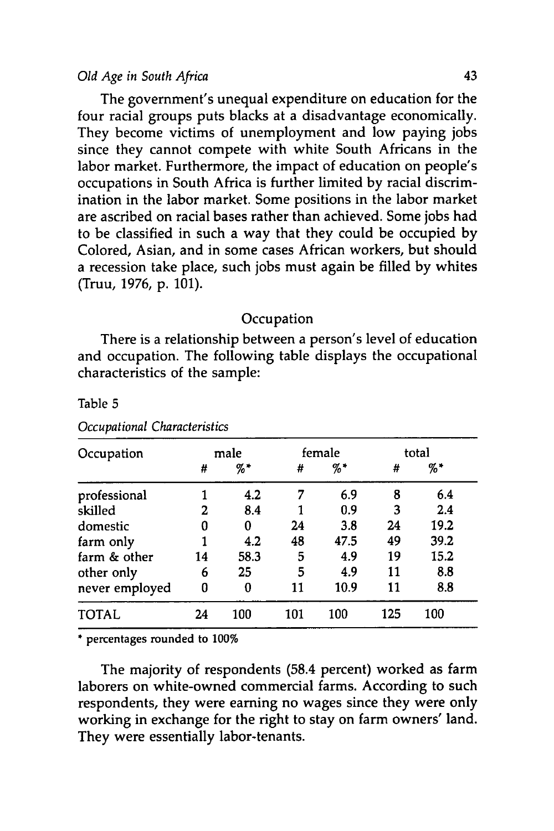The government's unequal expenditure on education for the four racial groups puts blacks at a disadvantage economically. They become victims of unemployment and low paying jobs since they cannot compete with white South Africans in the labor market. Furthermore, the impact of education on people's occupations in South Africa is further limited **by** racial discrimination in the labor market. Some positions in the labor market are ascribed on racial bases rather than achieved. Some jobs had to be classified in such a way that they could be occupied **by** Colored, Asian, and in some cases African workers, but should a recession take place, such jobs must again be filled **by** whites (Truu, **1976, p. 101).**

## **Occupation**

There is a relationship between a person's level of education and occupation. The following table displays the occupational characteristics of the sample:

| Occupation     |    | male |     | female |     | total |
|----------------|----|------|-----|--------|-----|-------|
|                | #  | %*   | #   | $\% *$ | #   | $%$ * |
| professional   |    | 4.2  | 7   | 6.9    | 8   | 6.4   |
| skilled        | 2  | 8.4  |     | 0.9    | 3   | 2.4   |
| domestic       | 0  | 0    | 24  | 3.8    | 24  | 19.2  |
| farm only      |    | 4.2  | 48  | 47.5   | 49  | 39.2  |
| farm & other   | 14 | 58.3 | 5   | 4.9    | 19  | 15.2  |
| other only     | 6  | 25   | 5   | 4.9    | 11  | 8.8   |
| never employed | 0  | 0    | 11  | 10.9   | 11  | 8.8   |
| <b>TOTAL</b>   | 24 | 100  | 101 | 100    | 125 | 100   |

Table **5**

*Occupational Characteristics*

**\*** percentages rounded to 100%

The majority of respondents (58.4 percent) worked as farm laborers on white-owned commercial farms. According to such respondents, they were earning no wages since they were only working in exchange for the right to stay on farm owners' land. They were essentially labor-tenants.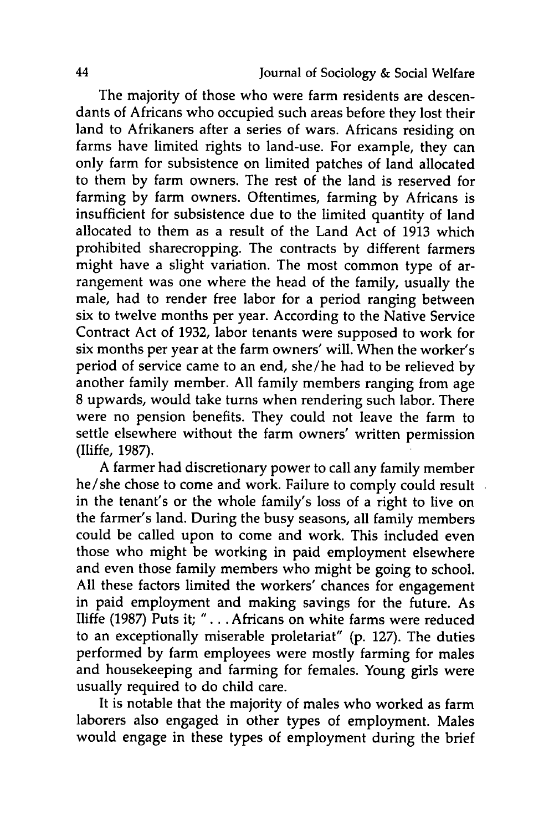The majority of those who were farm residents are descendants of Africans who occupied such areas before they lost their land to Afrikaners after a series of wars. Africans residing on farms have limited rights to land-use. For example, they can only farm for subsistence on limited patches of land allocated to them **by** farm owners. The rest of the land is reserved for farming **by** farm owners. Oftentimes, farming **by** Africans is insufficient for subsistence due to the limited quantity of land allocated to them as a result of the Land Act of **1913** which prohibited sharecropping. The contracts **by** different farmers might have a slight variation. The most common type of arrangement was one where the head of the family, usually the male, had to render free labor for a period ranging between six to twelve months per year. According to the Native Service Contract Act of **1932,** labor tenants were supposed to work for six months per year at the farm owners' will. When the worker's period of service came to an end, she/he had to be relieved **by** another family member. **All** family members ranging from age **<sup>8</sup>**upwards, would take turns when rendering such labor. There were no pension benefits. They could not leave the farm to settle elsewhere without the farm owners' written permission (Iliffe, **1987).**

A farmer had discretionary power to call any family member he/she chose to come and work. Failure to comply could result in the tenant's or the whole family's loss of a right to live on the farmer's land. During the busy seasons, all family members could be called upon to come and work. This included even those who might be working in paid employment elsewhere and even those family members who might be going to school. **All** these factors limited the workers' chances for engagement in paid employment and making savings for the future. As Iliffe **(1987)** Puts it; **"....** Africans on white farms were reduced to an exceptionally miserable proletariat" **(p. 127).** The duties performed **by** farm employees were mostly farming for males and housekeeping and farming for females. Young girls were usually required to do child care.

It is notable that the majority of males who worked as farm laborers also engaged in other types of employment. Males would engage in these types of employment during the brief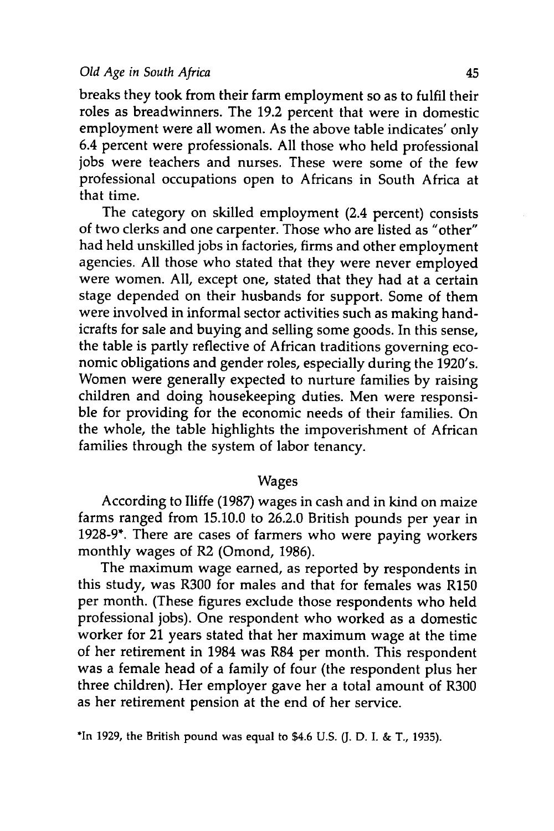breaks they took from their farm employment so as to fulfil their roles as breadwinners. The **19.2** percent that were in domestic employment were all women. As the above table indicates' only 6.4 percent were professionals. **All** those who held professional jobs were teachers and nurses. These were some of the few professional occupations open to Africans in South Africa at that time.

The category on skilled employment (2.4 percent) consists of two clerks and one carpenter. Those who are listed as "other" had held unskilled jobs in factories, firms and other employment agencies. All those who stated that they were never employed were women. All, except one, stated that they had at a certain stage depended on their husbands for support. Some of them were involved in informal sector activities such as making handicrafts for sale and buying and selling some goods. In this sense, the table is partly reflective of African traditions governing economic obligations and gender roles, especially during the 1920's. Women were generally expected to nurture families by raising children and doing housekeeping duties. Men were responsible for providing for the economic needs of their families. On the whole, the table highlights the impoverishment of African families through the system of labor tenancy.

### Wages

According to Iliffe (1987) wages in cash and in kind on maize farms ranged from 15.10.0 to 26.2.0 British pounds per year in 1928-9\*. There are cases of farmers who were paying workers monthly wages of R2 (Omond, 1986).

The maximum wage earned, as reported by respondents in this study, was R300 for males and that for females was R150 per month. (These figures exclude those respondents who held professional jobs). One respondent who worked as a domestic worker for 21 years stated that her maximum wage at the time of her retirement in 1984 was R84 per month. This respondent was a female head of a family of four (the respondent plus her three children). Her employer gave her a total amount of R300 as her retirement pension at the end of her service.

\*In **1929,** the British pound was equal to \$4.6 **U.S. (J. D. I.** & T., **1935).**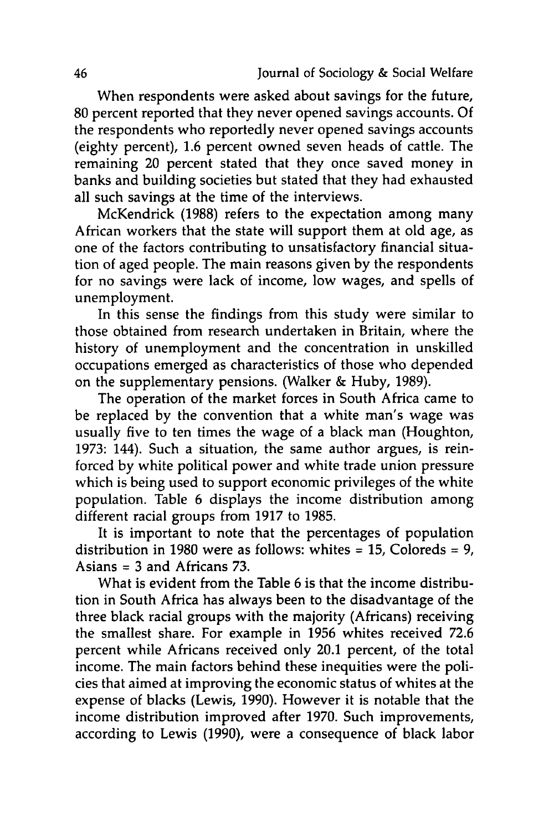When respondents were asked about savings for the future, **80** percent reported that they never opened savings accounts. **Of** the respondents who reportedly never opened savings accounts (eighty percent), **1.6** percent owned seven heads of cattle. The remaining 20 percent stated that they once saved money in banks and building societies but stated that they had exhausted all such savings at the time of the interviews.

McKendrick **(1988)** refers to the expectation among many African workers that the state will support them at old age, as one of the factors contributing to unsatisfactory financial situation of aged people. The main reasons given **by** the respondents for no savings were lack of income, low wages, and spells of unemployment.

In this sense the findings from this study were similar to those obtained from research undertaken in Britain, where the history of unemployment and the concentration in unskilled occupations emerged as characteristics of those who depended on the supplementary pensions. (Walker **&** Huby, **1989).**

The operation of the market forces in South Africa came to be replaced **by** the convention that a white man's wage was usually five to ten times the wage of a black man (Houghton, **1973:** 144). Such a situation, the same author argues, is reinforced **by** white political power and white trade union pressure which is being used to support economic privileges of the white population. Table **6** displays the income distribution among different racial groups from **1917** to **1985.**

It is important to note that the percentages of population distribution in **1980** were as follows: whites = **15,** Coloreds **= 9,** Asians = **3** and Africans **73.**

What is evident from the Table **6** is that the income distribution in South Africa has always been to the disadvantage of the three black racial groups with the majority (Africans) receiving the smallest share. For example in **1956** whites received **72.6** percent while Africans received only 20.1 percent, of the total income. The main factors behind these inequities were the policies that aimed at improving the economic status of whites at the expense of blacks (Lewis, **1990).** However it is notable that the income distribution improved after **1970.** Such improvements, according to Lewis **(1990),** were a consequence of black labor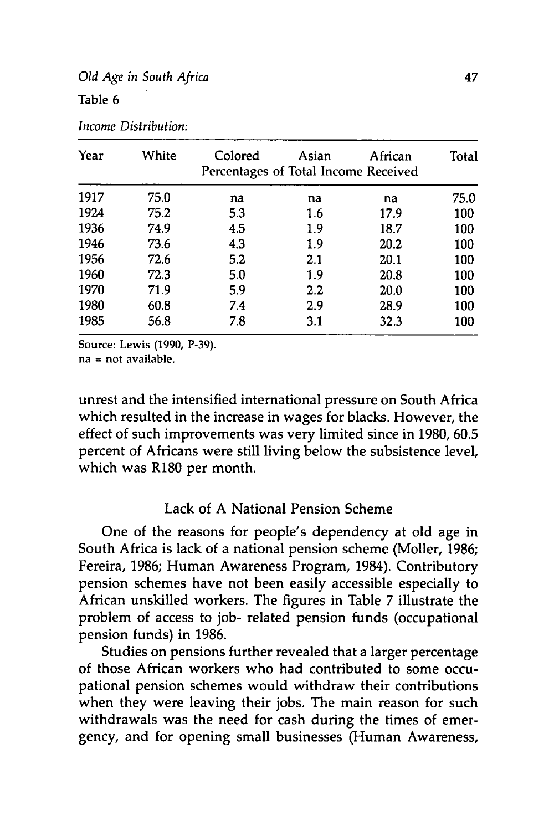## *Old Age in South Africa* 47 Table **6**

| Year | White | Colored<br>Percentages of Total Income Received | Asian   | African | Total |
|------|-------|-------------------------------------------------|---------|---------|-------|
| 1917 | 75.0  | na                                              | na      | na      | 75.0  |
| 1924 | 75.2  | 5.3                                             | 1.6     | 17.9    | 100   |
| 1936 | 74.9  | 4.5                                             | 1.9     | 18.7    | 100   |
| 1946 | 73.6  | 4.3                                             | 1.9     | 20.2    | 100   |
| 1956 | 72.6  | 5.2                                             | 2.1     | 20.1    | 100   |
| 1960 | 72.3  | 5.0                                             | 1.9     | 20.8    | 100   |
| 1970 | 71.9  | 5.9                                             | $2.2\,$ | 20.0    | 100   |
| 1980 | 60.8  | 7.4                                             | 2.9     | 28.9    | 100   |
| 1985 | 56.8  | 7.8                                             | 3.1     | 32.3    | 100   |

*Income Distribution:*

Source: Lewis **(1990, P-39).**

na = not available.

unrest and the intensified international pressure on South Africa which resulted in the increase in wages for blacks. However, the effect of such improvements was very limited since in **1980, 60.5** percent of Africans were still living below the subsistence level, which was R180 per month.

## Lack of A National Pension Scheme

One of the reasons for people's dependency at old age in South Africa is lack of a national pension scheme (Moller, **1986;** Fereira, **1986;** Human Awareness Program, 1984). Contributory pension schemes have not been easily accessible especially to African unskilled workers. The figures in Table 7 illustrate the problem of access to **job-** related pension funds (occupational pension funds) in **1986.**

Studies on pensions further revealed that a larger percentage of those African workers who had contributed to some occupational pension schemes would withdraw their contributions when they were leaving their jobs. The main reason for such withdrawals was the need for cash during the times of emergency, and for opening small businesses (Human Awareness,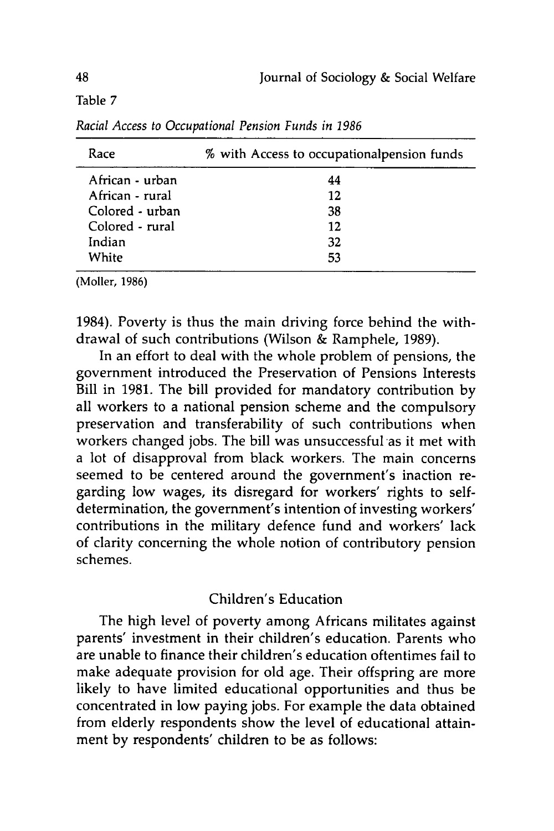Table 7

| Race            | % with Access to occupationalpension funds |
|-----------------|--------------------------------------------|
| African - urban | 44                                         |
| African - rural | 12                                         |
| Colored - urban | 38                                         |
| Colored - rural | 12                                         |
| Indian          | 32                                         |
| White           | 53                                         |

*Racial Access to Occupational Pension Funds in 1986*

(Moller, 1986)

1984). Poverty is thus the main driving force behind the withdrawal of such contributions (Wilson & Ramphele, 1989).

In an effort to deal with the whole problem of pensions, the government introduced the Preservation of Pensions Interests Bill in 1981. The bill provided for mandatory contribution by all workers to a national pension scheme and the compulsory preservation and transferability of such contributions when workers changed jobs. The bill was unsuccessful as it met with a lot of disapproval from black workers. The main concerns seemed to be centered around the government's inaction regarding low wages, its disregard for workers' rights to selfdetermination, the government's intention of investing workers' contributions in the military defence fund and workers' lack of clarity concerning the whole notion of contributory pension schemes.

## Children's Education

The high level of poverty among Africans militates against parents' investment in their children's education. Parents who are unable to finance their children's education oftentimes fail to make adequate provision for old age. Their offspring are more likely to have limited educational opportunities and thus be concentrated in low paying jobs. For example the data obtained from elderly respondents show the level of educational attainment by respondents' children to be as follows: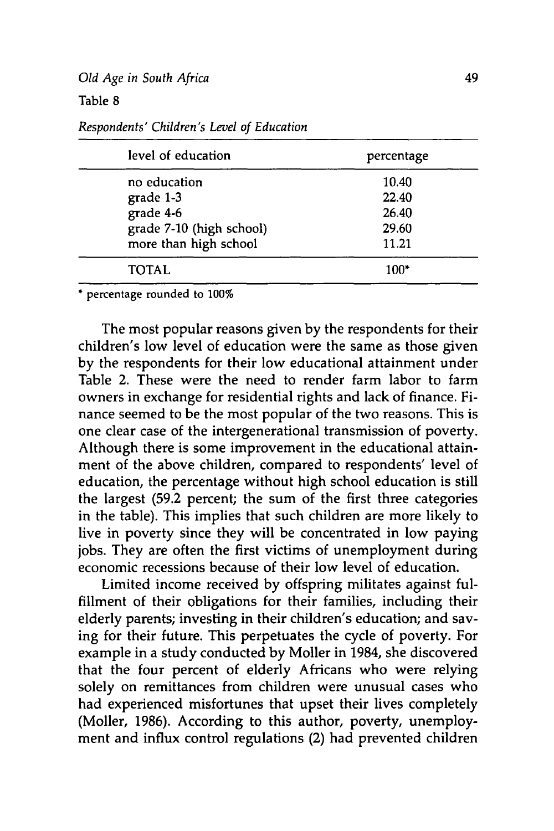## Table **8**

| level of education       | percentage |  |  |
|--------------------------|------------|--|--|
| no education             | 10.40      |  |  |
| grade 1-3                | 22.40      |  |  |
| grade 4-6                | 26.40      |  |  |
| grade 7-10 (high school) | 29.60      |  |  |
| more than high school    | 11.21      |  |  |
| TOTAL                    | $100*$     |  |  |

*Respondents' Children's Level of Education*

**\*** percentage rounded to **100%**

The most popular reasons given **by** the respondents for their children's low level of education were the same as those given **by** the respondents for their low educational attainment under Table 2. These were the need to render farm labor to farm owners in exchange for residential rights and lack of finance. Finance seemed to be the most popular of the two reasons. This is one clear case of the intergenerational transmission of poverty. Although there is some improvement in the educational attainment of the above children, compared to respondents' level of education, the percentage without high school education is still the largest **(59.2** percent; the sum of the first three categories in the table). This implies that such children are more likely to live in poverty since they will be concentrated in low paying jobs. They are often the first victims of unemployment during economic recessions because of their low level of education.

Limited income received **by** offspring militates against fulfillment of their obligations for their families, including their elderly parents; investing in their children's education; and saving for their future. This perpetuates the cycle of poverty. For example in a study conducted **by** Moller in 1984, she discovered that the four percent of elderly Africans who were relying solely on remittances from children were unusual cases who had experienced misfortunes that upset their lives completely (Moller, **1986).** According to this author, poverty, unemployment and influx control regulations (2) had prevented children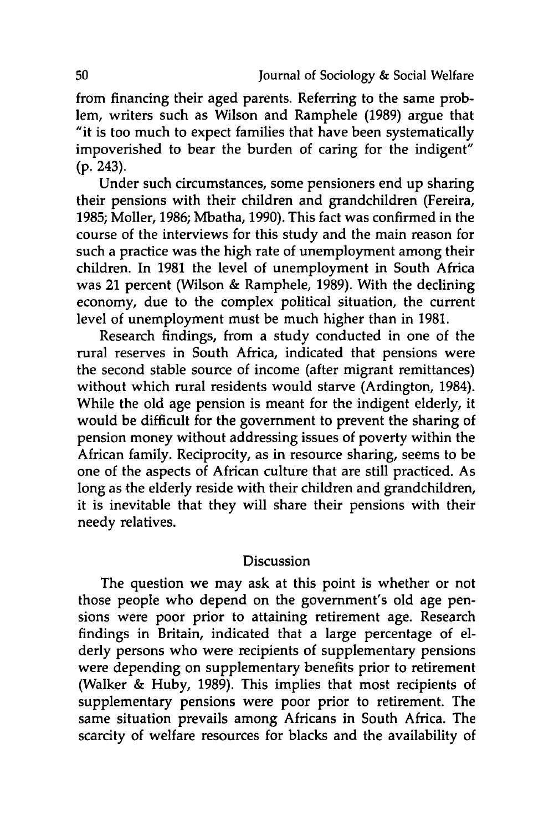from financing their aged parents. Referring to the same problem, writers such as Wilson and Ramphele **(1989)** argue that "it is too much to expect families that have been systematically impoverished to bear the burden of caring for the indigent" **(p.** 243).

Under such circumstances, some pensioners end up sharing their pensions with their children and grandchildren (Fereira, **1985;** Moller, **1986;** Mbatha, **1990).** This fact was confirmed in the course of the interviews for this study and the main reason for such a practice was the high rate of unemployment among their children. In **1981** the level of unemployment in South Africa was 21 percent (Wilson **&** Ramphele, **1989).** With the declining economy, due to the complex political situation, the current level of unemployment must be much higher than in **1981.**

Research findings, from a study conducted in one of the rural reserves in South Africa, indicated that pensions were the second stable source of income (after migrant remittances) without which rural residents would starve (Ardington, 1984). While the old age pension is meant for the indigent elderly, it would be difficult for the government to prevent the sharing of pension money without addressing issues of poverty within the African family. Reciprocity, as in resource sharing, seems to be one of the aspects of African culture that are still practiced. As long as the elderly reside with their children and grandchildren, it is inevitable that they will share their pensions with their needy relatives.

## **Discussion**

The question we may ask at this point is whether or not those people who depend on the government's old age pensions were poor prior to attaining retirement age. Research findings in Britain, indicated that a large percentage of elderly persons who were recipients of supplementary pensions were depending on supplementary benefits prior to retirement (Walker **&** Huby, **1989).** This implies that most recipients of supplementary pensions were poor prior to retirement. The same situation prevails among Africans in South Africa. The scarcity of welfare resources for blacks and the availability of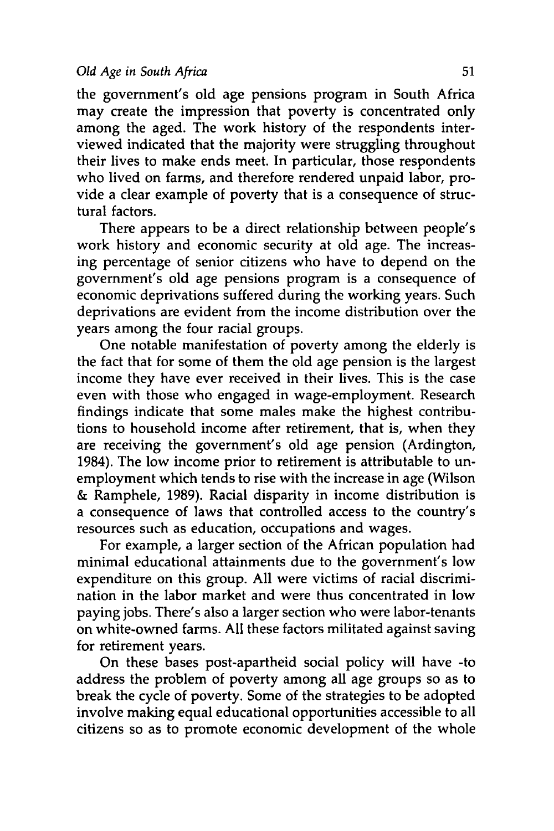the government's old age pensions program in South Africa may create the impression that poverty is concentrated only among the aged. The work history of the respondents interviewed indicated that the majority were struggling throughout their lives to make ends meet. In particular, those respondents who lived on farms, and therefore rendered unpaid labor, provide a clear example of poverty that is a consequence of structural factors.

There appears to be a direct relationship between people's work history and economic security at old age. The increasing percentage of senior citizens who have to depend on the government's old age pensions program is a consequence of economic deprivations suffered during the working years. Such deprivations are evident from the income distribution over the years among the four racial groups.

One notable manifestation of poverty among the elderly is the fact that for some of them the old age pension is the largest income they have ever received in their lives. This is the case even with those who engaged in wage-employment. Research findings indicate that some males make the highest contributions to household income after retirement, that is, when they are receiving the government's old age pension (Ardington, 1984). The low income prior to retirement is attributable to unemployment which tends to rise with the increase in age (Wilson & Ramphele, 1989). Racial disparity in income distribution is a consequence of laws that controlled access to the country's resources such as education, occupations and wages.

For example, a larger section of the African population had minimal educational attainments due to the government's low expenditure on this group. All were victims of racial discrimination in the labor market and were thus concentrated in low paying jobs. There's also a larger section who were labor-tenants on white-owned farms. All these factors militated against saving for retirement years.

On these bases post-apartheid social policy will have -to address the problem of poverty among all age groups so as to break the cycle of poverty. Some of the strategies to be adopted involve making equal educational opportunities accessible to all citizens so as to promote economic development of the whole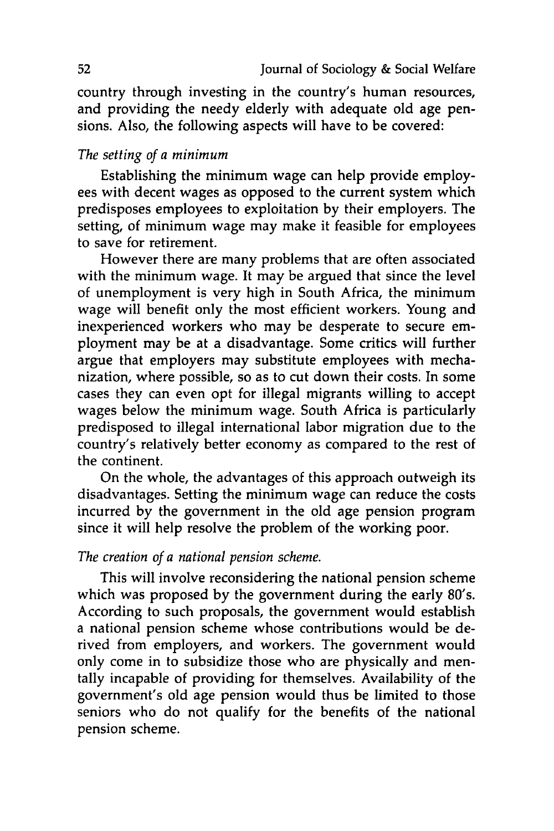country through investing in the country's human resources, and providing the needy elderly with adequate old age pensions. Also, the following aspects will have to be covered:

## *The setting of a minimum*

Establishing the minimum wage can help provide employees with decent wages as opposed to the current system which predisposes employees to exploitation **by** their employers. The setting, of minimum wage may make it feasible for employees to save for retirement.

However there are many problems that are often associated with the minimum wage. It may be argued that since the level of unemployment is very high in South Africa, the minimum wage will benefit only the most efficient workers. Young and inexperienced workers who may be desperate to secure employment may be at a disadvantage. Some critics will further argue that employers may substitute employees with mechanization, where possible, so as to cut down their costs. In some cases they can even opt for illegal migrants willing to accept wages below the minimum wage. South Africa is particularly predisposed to illegal international labor migration due to the country's relatively better economy as compared to the rest of the continent.

On the whole, the advantages of this approach outweigh its disadvantages. Setting the minimum wage can reduce the costs incurred **by** the government in the old age pension program since it will help resolve the problem of the working poor.

## *The creation of a national pension scheme.*

This will involve reconsidering the national pension scheme which was proposed **by** the government during the early 80's. According to such proposals, the government would establish a national pension scheme whose contributions would be derived from employers, and workers. The government would only come in to subsidize those who are physically and mentally incapable of providing for themselves. Availability of the government's old age pension would thus be limited to those seniors who do not qualify for the benefits of the national pension scheme.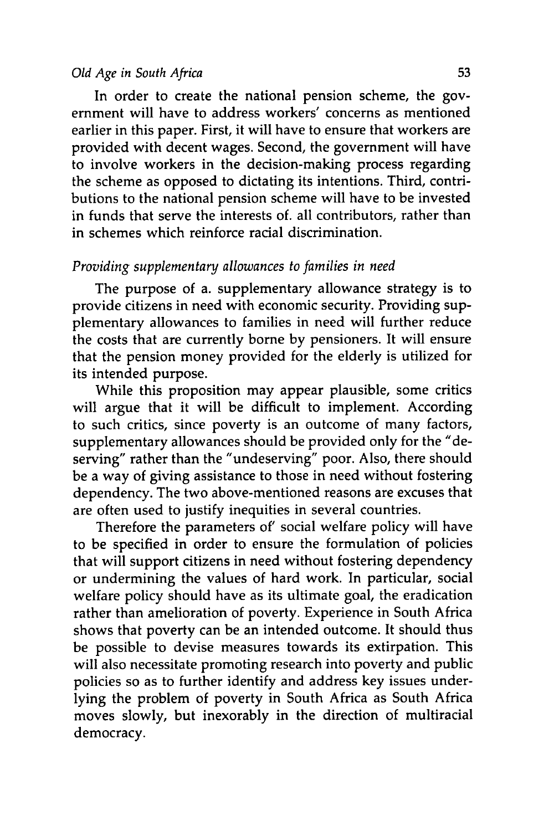In order to create the national pension scheme, the government will have to address workers' concerns as mentioned earlier in this paper. First, it will have to ensure that workers are provided with decent wages. Second, the government will have to involve workers in the decision-making process regarding the scheme as opposed to dictating its intentions. Third, contributions to the national pension scheme will have to be invested in funds that serve the interests of. all contributors, rather than in schemes which reinforce racial discrimination.

## *Providing supplementary allowances to families in need*

The purpose of a. supplementary allowance strategy is to provide citizens in need with economic security. Providing supplementary allowances to families in need will further reduce the costs that are currently borne **by** pensioners. It will ensure that the pension money provided for the elderly is utilized for its intended purpose.

While this proposition may appear plausible, some critics will argue that it will be difficult to implement. According to such critics, since poverty is an outcome of many factors, supplementary allowances should be provided only for the "deserving" rather than the "undeserving" poor. Also, there should be a way of giving assistance to those in need without fostering dependency. The two above-mentioned reasons are excuses that are often used to justify inequities in several countries.

Therefore the parameters of' social welfare policy will have to be specified in order to ensure the formulation of policies that will support citizens in need without fostering dependency or undermining the values of hard work. In particular, social welfare policy should have as its ultimate goal, the eradication rather than amelioration of poverty. Experience in South Africa shows that poverty can be an intended outcome. It should thus be possible to devise measures towards its extirpation. This will also necessitate promoting research into poverty and public policies so as to further identify and address key issues underlying the problem of poverty in South Africa as South Africa moves slowly, but inexorably in the direction of multiracial democracy.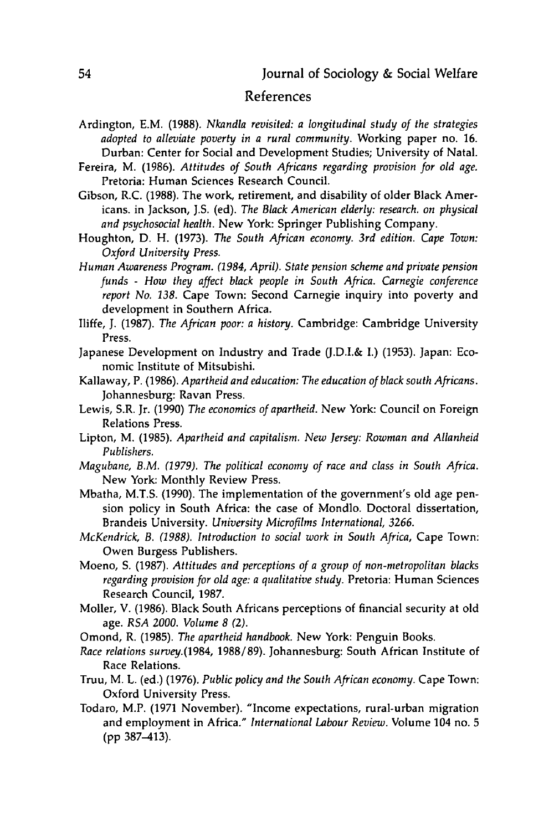## References

- Ardington, E.M. **(1988).** *Nkandla revisited: a longitudinal study of the strategies adopted to alleviate poverty in a rural community.* Working paper no. **16.** Durban: Center for Social and Development Studies; University of Natal.
- Fereira, M. **(1986).** *Attitudes of South Africans regarding provision for old age.* Pretoria: Human Sciences Research Council.
- Gibson, R.C. **(1988).** The work, retirement, and disability of older Black Americans. in Jackson, **J.S.** (ed). *The Black American elderly: research. on physical and psychosocial health.* New York: Springer Publishing Company.
- Houghton, **D.** H. **(1973).** *The South African economy. 3rd edition. Cape Town: Oxford University Press.*
- *Human Awareness Program. (1984, April). State pension scheme and private pension funds* **-** *How they affect black people in South Africa. Carnegie conference report No. 138.* Cape Town: Second Carnegie inquiry into poverty and development in Southern Africa.
- Iliffe, **J. (1987).** *The African poor: a history.* Cambridge: Cambridge University Press.
- Japanese Development on Industry and Trade **(J.D.I.& I.) (1953).** Japan: Economic Institute of Mitsubishi.
- Kallaway, P. **(1986).** *Apartheid and education: The education of black south Africans.* Johannesburg: Ravan Press.
- Lewis, S.R. Jr. **(1990)** *The economics of apartheid.* New York: Council on Foreign Relations Press.
- Lipton, M. **(1985).** *Apartheid and capitalism. New Jersey: Rowman and Allanheid Publishers.*
- *Magubane, B.M. (1979). The political economy of race and class in South Africa.* New York: Monthly Review Press.
- Mbatha, M.T.S. **(1990).** The implementation of the government's old age pension policy in South Africa: the case of Mondlo. Doctoral dissertation, Brandeis University. *University Microfilms International, 3266.*
- *McKendrick, B. (1988). Introduction to social work in South Africa,* Cape Town: Owen Burgess Publishers.
- Moeno, **S. (1987).** *Attitudes and perceptions of a group of non-metropolitan blacks regarding provision for old age: a qualitative study.* Pretoria: Human Sciences Research Council, **1987.**
- Moller, V. **(1986).** Black South Africans perceptions of financial security at old age. *RSA 2000. Volume 8 (2).*
- Omond, R. **(1985).** *The apartheid handbook.* New York: Penguin Books.
- *Race relations survey.(1984,* **1988/89).** Johannesburg: South African Institute of Race Relations.
- Truu, M. L. (ed.) **(1976).** *Public policy and the South African economy.* Cape Town: Oxford University Press.
- Todaro, M.P. **(1971** November). "Income expectations, rural-urban migration and employment in Africa." *International Labour Review.* Volume 104 no. **5 (pp 387-413).**